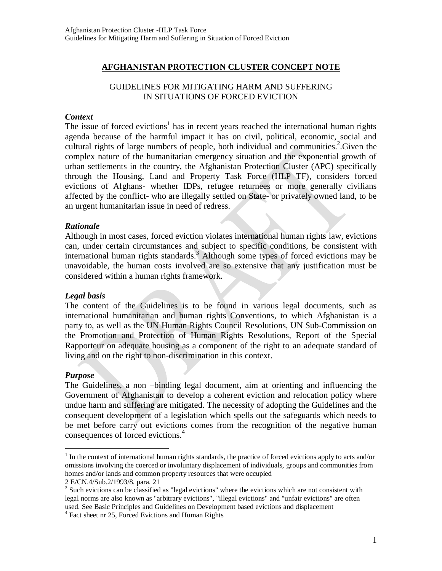# **AFGHANISTAN PROTECTION CLUSTER CONCEPT NOTE**

## GUIDELINES FOR MITIGATING HARM AND SUFFERING IN SITUATIONS OF FORCED EVICTION

## *Context*

The issue of forced evictions<sup>1</sup> has in recent years reached the international human rights agenda because of the harmful impact it has on civil, political, economic, social and cultural rights of large numbers of people, both individual and communities.<sup>2</sup>. Given the complex nature of the humanitarian emergency situation and the exponential growth of urban settlements in the country, the Afghanistan Protection Cluster (APC) specifically through the Housing, Land and Property Task Force (HLP TF), considers forced evictions of Afghans- whether IDPs, refugee returnees or more generally civilians affected by the conflict- who are illegally settled on State- or privately owned land, to be an urgent humanitarian issue in need of redress.

## *Rationale*

Although in most cases, forced eviction violates international human rights law, evictions can, under certain circumstances and subject to specific conditions, be consistent with international human rights standards.<sup>3</sup> Although some types of forced evictions may be unavoidable, the human costs involved are so extensive that any justification must be considered within a human rights framework.

## *Legal basis*

The content of the Guidelines is to be found in various legal documents, such as international humanitarian and human rights Conventions, to which Afghanistan is a party to, as well as the UN Human Rights Council Resolutions, UN Sub-Commission on the Promotion and Protection of Human Rights Resolutions, Report of the Special Rapporteur on adequate housing as a component of the right to an adequate standard of living and on the right to non-discrimination in this context.

#### *Purpose*

 $\overline{a}$ 

The Guidelines, a non –binding legal document, aim at orienting and influencing the Government of Afghanistan to develop a coherent eviction and relocation policy where undue harm and suffering are mitigated. The necessity of adopting the Guidelines and the consequent development of a legislation which spells out the safeguards which needs to be met before carry out evictions comes from the recognition of the negative human consequences of forced evictions.<sup>4</sup>

<sup>&</sup>lt;sup>1</sup> In the context of international human rights standards, the practice of forced evictions apply to acts and/or omissions involving the coerced or involuntary displacement of individuals, groups and communities from homes and/or lands and common property resources that were occupied

<sup>2</sup> E/CN.4/Sub.2/1993/8, para. 21

<sup>&</sup>lt;sup>3</sup> Such evictions can be classified as "legal evictions" where the evictions which are not consistent with legal norms are also known as "arbitrary evictions", "illegal evictions" and "unfair evictions" are often used. See Basic Principles and Guidelines on Development based evictions and displacement

<sup>&</sup>lt;sup>4</sup> Fact sheet nr 25, Forced Evictions and Human Rights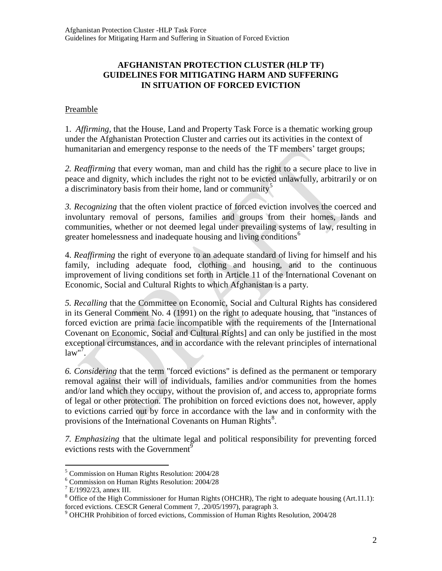# **AFGHANISTAN PROTECTION CLUSTER (HLP TF) GUIDELINES FOR MITIGATING HARM AND SUFFERING IN SITUATION OF FORCED EVICTION**

# Preamble

1. *Affirming,* that the House, Land and Property Task Force is a thematic working group under the Afghanistan Protection Cluster and carries out its activities in the context of humanitarian and emergency response to the needs of the TF members' target groups;

*2. Reaffirming* that every woman, man and child has the right to a secure place to live in peace and dignity, which includes the right not to be evicted unlawfully, arbitrarily or on a discriminatory basis from their home, land or community<sup>5</sup>

*3. Recognizing* that the often violent practice of forced eviction involves the coerced and involuntary removal of persons, families and groups from their homes, lands and communities, whether or not deemed legal under prevailing systems of law, resulting in greater homelessness and inadequate housing and living conditions<sup>6</sup>

4. *Reaffirming* the right of everyone to an adequate standard of living for himself and his family, including adequate food, clothing and housing, and to the continuous improvement of living conditions set forth in Article 11 of the International Covenant on Economic, Social and Cultural Rights to which Afghanistan is a party.

*5. Recalling* that the Committee on Economic, Social and Cultural Rights has considered in its General Comment No. 4 (1991) on the right to adequate housing, that "instances of forced eviction are prima facie incompatible with the requirements of the [International Covenant on Economic, Social and Cultural Rights] and can only be justified in the most exceptional circumstances, and in accordance with the relevant principles of international  $law''$ ?

*6. Considering* that the term "forced evictions" is defined as the permanent or temporary removal against their will of individuals, families and/or communities from the homes and/or land which they occupy, without the provision of, and access to, appropriate forms of legal or other protection. The prohibition on forced evictions does not, however, apply to evictions carried out by force in accordance with the law and in conformity with the provisions of the International Covenants on Human Rights $8$ .

*7. Emphasizing* that the ultimate legal and political responsibility for preventing forced evictions rests with the Government<sup>9</sup>

 $\overline{a}$ <sup>5</sup> Commission on Human Rights Resolution: 2004/28

<sup>6</sup> Commission on Human Rights Resolution: 2004/28

 $^7$  E/1992/23, annex III.

<sup>&</sup>lt;sup>8</sup> Office of the High Commissioner for Human Rights (OHCHR), The right to adequate housing (Art.11.1): forced evictions. CESCR General Comment 7, .20/05/1997), paragraph 3.

<sup>9</sup> OHCHR Prohibition of forced evictions, Commission of Human Rights Resolution, 2004/28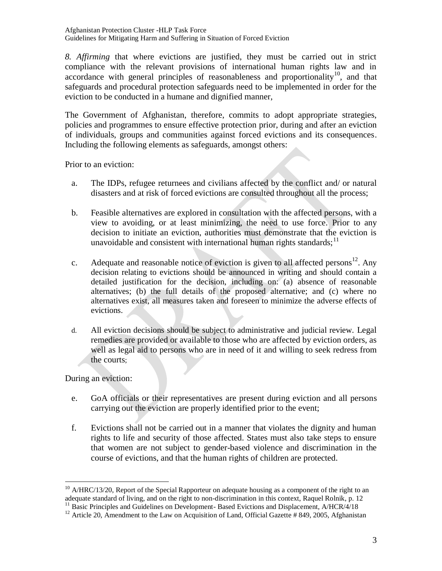Afghanistan Protection Cluster -HLP Task Force Guidelines for Mitigating Harm and Suffering in Situation of Forced Eviction

*8. Affirming* that where evictions are justified, they must be carried out in strict compliance with the relevant provisions of international human rights law and in  $accordance$  with general principles of reasonableness and proportionality<sup>10</sup>, and that safeguards and procedural protection safeguards need to be implemented in order for the eviction to be conducted in a humane and dignified manner,

The Government of Afghanistan, therefore, commits to adopt appropriate strategies, policies and programmes to ensure effective protection prior, during and after an eviction of individuals, groups and communities against forced evictions and its consequences. Including the following elements as safeguards, amongst others:

Prior to an eviction:

- a. The IDPs, refugee returnees and civilians affected by the conflict and/ or natural disasters and at risk of forced evictions are consulted throughout all the process;
- b. Feasible alternatives are explored in consultation with the affected persons, with a view to avoiding, or at least minimizing, the need to use force. Prior to any decision to initiate an eviction, authorities must demonstrate that the eviction is unavoidable and consistent with international human rights standards;  $11$
- c. Adequate and reasonable notice of eviction is given to all affected persons<sup>12</sup>. Any decision relating to evictions should be announced in writing and should contain a detailed justification for the decision, including on: (a) absence of reasonable alternatives; (b) the full details of the proposed alternative; and (c) where no alternatives exist, all measures taken and foreseen to minimize the adverse effects of evictions.
- d. All eviction decisions should be subject to administrative and judicial review. Legal remedies are provided or available to those who are affected by eviction orders, as well as legal aid to persons who are in need of it and willing to seek redress from the courts;

During an eviction:

 $\overline{a}$ 

- e. GoA officials or their representatives are present during eviction and all persons carrying out the eviction are properly identified prior to the event;
- f. Evictions shall not be carried out in a manner that violates the dignity and human rights to life and security of those affected. States must also take steps to ensure that women are not subject to gender-based violence and discrimination in the course of evictions, and that the human rights of children are protected.

 $10$  A/HRC/13/20, Report of the Special Rapporteur on adequate housing as a component of the right to an adequate standard of living, and on the right to non-discrimination in this context, Raquel Rolnik, p. 12 <sup>11</sup> Basic Principles and Guidelines on Development- Based Evictions and Displacement, A/HCR/4/18

<sup>&</sup>lt;sup>12</sup> Article 20, Amendment to the Law on Acquisition of Land, Official Gazette # 849, 2005, Afghanistan